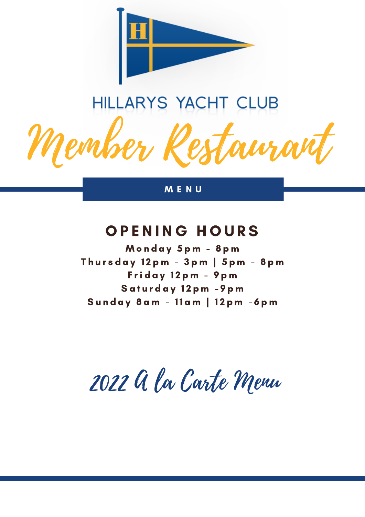

# HILLARYS YACHT CLUB

 $\mathscr{P}e$ rti

M E N U

# OPENING HOURS

Monday 5pm - 8pm Thursday 12pm - 3pm | 5pm - 8pm Friday 12pm - 9pm Saturday 12pm - 9pm Sunday 8 am - 11 am | 12 pm - 6 pm

2022 A la Carte Menu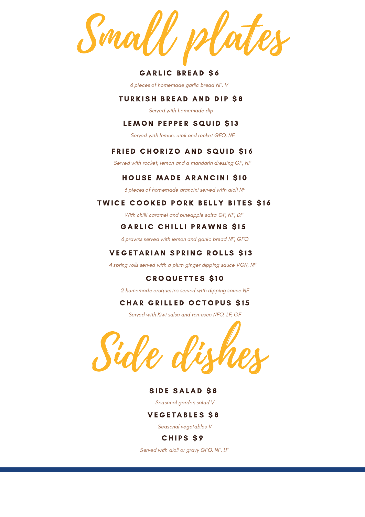Small plates

#### **GARLIC BREAD \$6**

6 pieces of homemade garlic bread NF, V

#### **TURKISH BREAD AND DIP \$8**

Served with homemade dip

#### LEMON PEPPER SQUID \$13

Served with lemon, aioli and rocket GFO, NF

#### FRIED CHORIZO AND SQUID \$16

Served with rocket, lemon and a mandarin dressing GF, NF

#### HOUSE MADE ARANCINI \$10

3 pieces of homemade arancini served with aioli NF

#### TWICE COOKED PORK BELLY BITES \$16

With chilli caramel and pineapple salsa GF, NF, DF

#### **GARLIC CHILLI PRAWNS \$15**

6 prawns served with lemon and garlic bread NF, GFO

#### VEGETARIAN SPRING ROLLS \$13

4 spring rolls served with a plum ginger dipping sauce VGN, NF

#### **CROQUETTES \$10**

2 homemade croquettes served with dipping sauce NF

#### **CHAR GRILLED OCTOPUS \$15**

Served with Kiwi salsa and romesco NFO, LF, GF



#### SIDE SALAD \$8

Seasonal garden salad V

#### **VEGETABLES S8**

Seasonal vegetables V

#### CHIPS \$9

Served with aioli or gravy GFO, NF, LF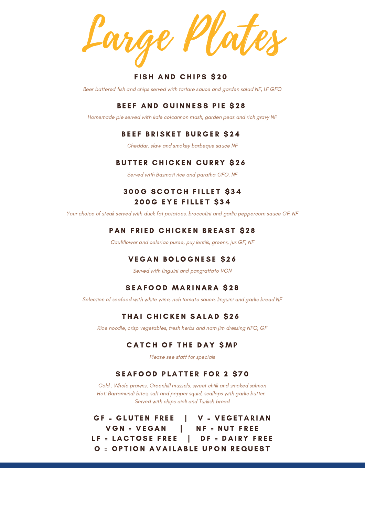Large Plates

#### **FISH AND CHIPS \$20**

Beer battered fish and chips served with tartare sauce and garden salad NF, LF GFO

#### BEEF AND GUINNESS PIE \$28

Homemade pie served with kale colcannon mash, garden peas and rich gravy NF

#### BEEF BRISKET BURGER \$24

Cheddar, slaw and smokey barbeque sauce NF

#### **BUTTER CHICKEN CURRY \$26**

Served with Basmati rice and paratha GFO, NF

### 300G SCOTCH FILLET \$34 **200G EYE FILLET \$34**

Your choice of steak served with duck fat potatoes, broccolini and garlic peppercorn sauce GF, NF

#### PAN FRIED CHICKEN BREAST \$28

Cauliflower and celeriac puree, puy lentils, greens, jus GF, NF

#### **VEGAN BOLOGNESE \$26**

Served with linguini and pangrattato VGN

#### SEAFOOD MARINARA \$28

Selection of seafood with white wine, rich tomato sauce, linguini and garlic bread NF

#### THAI CHICKEN SALAD \$26

Rice noodle, crisp vegetables, fresh herbs and nam jim dressing NFO, GF

#### **CATCH OF THE DAY SMP**

Please see staff for specials

#### SEAFOOD PLATTER FOR 2 \$70

Cold : Whole prawns, Greenhill mussels, sweet chilli and smoked salmon Hot: Barramundi bites, salt and pepper squid, scallops with garlic butter. Served with chips aioli and Turkish bread

GF = GLUTEN FREE  $|V = VEGETARIAN$ V G N = V E G A N | N F = N U T F R E E LF = LACTOSE FREE | DF = DAIRY FREE O = OPTION AVAILABLE UPON REQUEST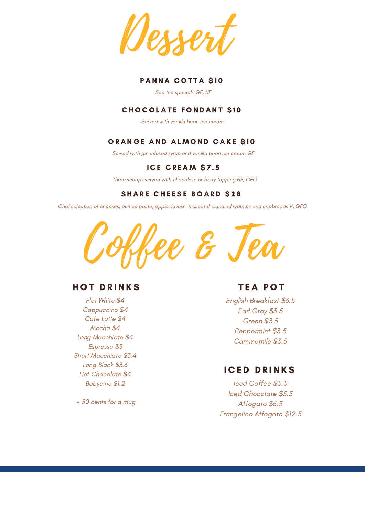

#### PANNA COTTA \$10

See the specials GF, NF

#### **CHOCOLATE FONDANT \$10**

Served with vanilla bean ice cream

#### ORANGE AND ALMOND CAKE \$10

Served with gin infused syrup and vanilla bean ice cream GF

## ICE CREAM \$7.5

Three scoops served with chocolate or berry topping NF, GFO

#### **SHARE CHEESE BOARD \$28**

Chef selection of cheeses, quince paste, apple, lavosh, muscatel, candied walnuts and cripbreads V, GFO



# **HOT DRINKS**

Flat White \$4 Cappuccino \$4 Cafe Latte \$4 Mocha \$4 Long Macchiato \$4 Espresso \$3 Short Macchiato \$3.4 Long Black \$3.6 Hot Chocolate \$4 Babycino \$1.2

+ 50 cents for a mug

# **TEA POT**

English Breakfast \$3.5 Earl Grey \$3.5 Green \$3.5 Peppermint \$3.5 Cammomile \$3.5

# **ICED DRINKS**

Iced Coffee \$5.5 Iced Chocolate \$5.5 Affogato \$6.5 Frangelico Affogato \$12.5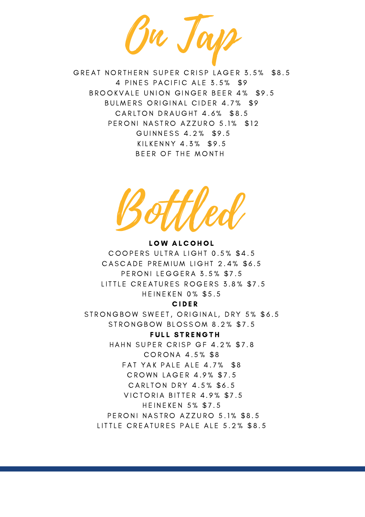On Tap

GREAT NORTHERN SUPER CRISP LAGER 3.5% \$8.5 4 PINES PACIFIC ALE 3.5% \$9 BROOKVALE UNION GINGER BEER 4% \$9.5 BULMERS ORIGINAL CIDER 4.7% \$9 CARLTON DRAUGHT 4.6% \$8.5 PERONI NASTRO AZZURO 5.1% \$12 GUINNESS 4.2% \$9.5 KILKENNY 4.3% \$9.5 BEER OF THE MONTH

Bottled

LOW ALCOHOL COOPERS ULTRA LIGHT 0.5% \$4.5 CASCADE PREMIUM LIGHT 2.4% \$6.5 PERONI LEGGERA 3.5% \$7.5 LITTLE CREATURES ROGERS 3.8% \$7.5 **HEINEKEN 0% \$5.5** 

#### C I D E R

STRONGBOW SWEET, ORIGINAL, DRY 5% \$6.5 STRONGBOW BLOSSOM 8.2% \$7.5

**FULL STRENGTH** 

HAHN SUPER CRISP GF 4.2% \$7.8 CORONA 4.5% \$8 FAT YAK PALE ALE 4.7% \$8 C R O W N L A G E R 4.9% \$ 7.5 CARLTON DRY 4.5% \$6.5 VICTORIA BITTER 4.9% \$7.5 H E IN E K E N 5% \$7.5 PERONI NASTRO AZZURO 5.1% \$8.5 LITTLE CREATURES PALE ALE 5.2% \$8.5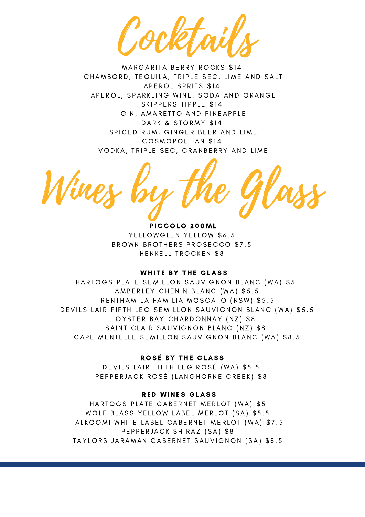Cocktails

MARGARITA BERRY ROCKS \$14 CHAMBORD, TEQUILA, TRIPLE SEC, LIME AND SALT A P E R O L S P R ITS \$ 14 APEROL, SPARKLING WINE, SODA AND ORANGE SKIPPERS TIPPLE \$14 GIN, AMARETTO AND PINEAPPLE DARK & STORMY \$14 SPICED RUM, GINGER BEER AND LIME COSMOPOLITAN \$14 VODKA, TRIPLE SEC, CRANBERRY AND LIME

Wines by the Glass

PICCOLO 200ML YELLOWGLEN YELLOW \$6.5 BROWN BROTHERS PROSECCO \$7.5 HENKELL TROCKEN \$8

#### WHITE BY THE GLASS

HARTOGS PLATE SEMILLON SAUVIGNON BLANC (WA) \$5 AMBERLEY CHENIN BLANC (WA) \$5.5 TRENTHAM LA FAMILIA MOSCATO (NSW) \$5.5 DEVILS LAIR FIFTH LEG SEMILLON SAUVIGNON BLANC (WA) \$5.5 OYSTER BAY CHARDONNAY (NZ) \$8 SAINT CLAIR SAUVIGNON BLANC (NZ) \$8 CAPE MENTELLE SEMILLON SAUVIGNON BLANC (WA) \$8.5

#### ROSÉ BY THE GLASS

DEVILS LAIR FIFTH LEG ROSÉ (WA) \$5.5 PEPPERJACK ROSÉ (LANGHORNE CREEK) \$8

#### **RED WINES GLASS**

HARTOGS PLATE CABERNET MERLOT (WA) \$5 WOLF BLASS YELLOW LABEL MERLOT (SA) \$5.5 ALKOOMI WHITE LABEL CABERNET MERLOT (WA) \$7.5 PEPPERJACK SHIRAZ (SA) \$8 TAYLORS JARAMAN CABERNET SAUVIGNON (SA) \$8.5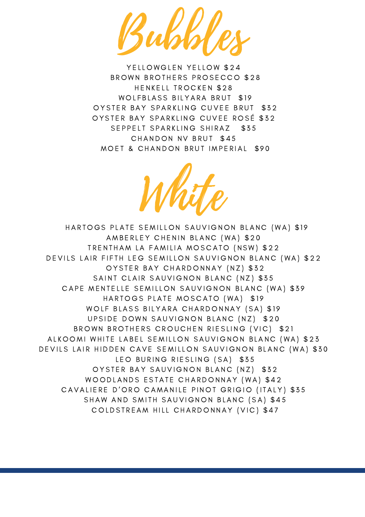Bubbles

YELLOWGLEN YELLOW \$24 BROWN BROTHERS PROSECCO \$28 HENKELL TROCKEN \$28 WOLFBLASS BILYARA BRUT \$19 OYSTER BAY SPARKLING CUVEE BRUT \$32 OYSTER BAY SPARKLING CUVEE ROSÉ \$32 SEPPELT SPARKLING SHIRAZ \$35 CHANDON NV BRUT \$45 MOET & CHANDON BRUT IMPERIAL \$90



HARTOGS PLATE SEMILLON SAUVIGNON BLANC (WA) \$19 AMBERLEY CHENIN BLANC (WA) \$20 TRENTHAM LA FAMILIA MOSCATO (NSW) \$22 DEVILS LAIR FIFTH LEG SEMILLON SAUVIGNON BLANC (WA) \$22 OYSTER BAY CHARDONNAY (NZ) \$32 SAINT CLAIR SAUVIGNON BLANC (NZ) \$35 CAPE MENTELLE SEMILLON SAUVIGNON BLANC (WA) \$39 HARTOGS PLATE MOSCATO (WA) \$19 WOLF BLASS BILYARA CHARDONNAY (SA) \$19 UPSIDE DOWN SAUVIGNON BLANC (NZ) \$20 BROWN BROTHERS CROUCHEN RIESLING (VIC) \$21 ALKOOMI WHITE LABEL SEMILLON SAUVIGNON BLANC (WA) \$23 DEVILS LAIR HIDDEN CAVE SEMILLON SAUVIGNON BLANC (WA) \$30 LEO BURING RIESLING (SA) \$35 OYSTER BAY SAUVIGNON BLANC (NZ) \$32 WOODLANDS ESTATE CHARDONNAY (WA) \$42 CAVALIERE D'ORO CAMANILE PINOT GRIGIO (ITALY) \$35 SHAW AND SMITH SAUVIGNON BLANC (SA) \$45 COLDSTREAM HILL CHARDONNAY (VIC) \$47